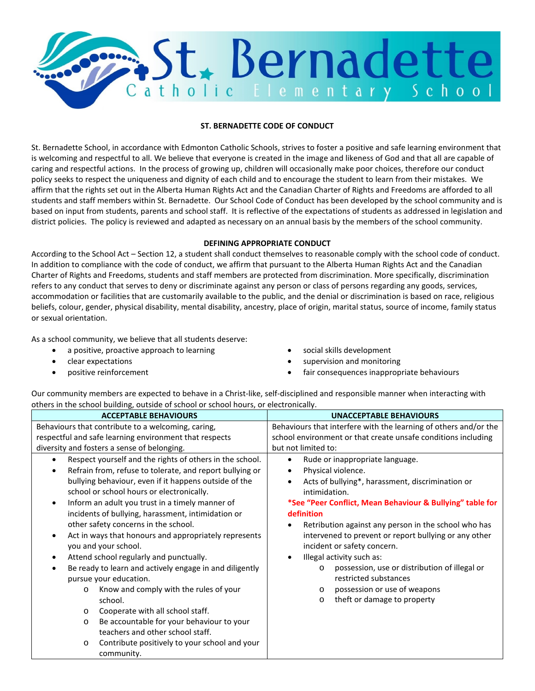

#### **ST. BERNADETTE CODE OF CONDUCT**

St. Bernadette School, in accordance with Edmonton Catholic Schools, strives to foster a positive and safe learning environment that is welcoming and respectful to all. We believe that everyone is created in the image and likeness of God and that all are capable of caring and respectful actions. In the process of growing up, children will occasionally make poor choices, therefore our conduct policy seeks to respect the uniqueness and dignity of each child and to encourage the student to learn from their mistakes. We affirm that the rights set out in the Alberta Human Rights Act and the Canadian Charter of Rights and Freedoms are afforded to all students and staff members within St. Bernadette. Our School Code of Conduct has been developed by the school community and is based on input from students, parents and school staff. It is reflective of the expectations of students as addressed in legislation and district policies. The policy is reviewed and adapted as necessary on an annual basis by the members of the school community.

#### **DEFINING APPROPRIATE CONDUCT**

According to the School Act – Section 12, a student shall conduct themselves to reasonable comply with the school code of conduct. In addition to compliance with the code of conduct, we affirm that pursuant to the Alberta Human Rights Act and the Canadian Charter of Rights and Freedoms, students and staff members are protected from discrimination. More specifically, discrimination refers to any conduct that serves to deny or discriminate against any person or class of persons regarding any goods, services, accommodation or facilities that are customarily available to the public, and the denial or discrimination is based on race, religious beliefs, colour, gender, physical disability, mental disability, ancestry, place of origin, marital status, source of income, family status or sexual orientation.

As a school community, we believe that all students deserve:

- a positive, proactive approach to learning **•** social skills development
- 
- 
- 
- clear expectations supervision and monitoring
- positive reinforcement **•** fair consequences inappropriate behaviours

Our community members are expected to behave in a Christ-like, self-disciplined and responsible manner when interacting with others in the school building, outside of school or school hours, or electronically.

| <b>ACCEPTABLE BEHAVIOURS</b>                                                                                                                                                                                                                                                                                                                                                                                                                                                                                                                                                                                                                                                                                                                                      | <b>UNACCEPTABLE BEHAVIOURS</b>                                                                                                                                                                                                                                                                                                                                                                                                                                                                                                                         |  |
|-------------------------------------------------------------------------------------------------------------------------------------------------------------------------------------------------------------------------------------------------------------------------------------------------------------------------------------------------------------------------------------------------------------------------------------------------------------------------------------------------------------------------------------------------------------------------------------------------------------------------------------------------------------------------------------------------------------------------------------------------------------------|--------------------------------------------------------------------------------------------------------------------------------------------------------------------------------------------------------------------------------------------------------------------------------------------------------------------------------------------------------------------------------------------------------------------------------------------------------------------------------------------------------------------------------------------------------|--|
| Behaviours that contribute to a welcoming, caring,                                                                                                                                                                                                                                                                                                                                                                                                                                                                                                                                                                                                                                                                                                                | Behaviours that interfere with the learning of others and/or the                                                                                                                                                                                                                                                                                                                                                                                                                                                                                       |  |
| respectful and safe learning environment that respects                                                                                                                                                                                                                                                                                                                                                                                                                                                                                                                                                                                                                                                                                                            | school environment or that create unsafe conditions including                                                                                                                                                                                                                                                                                                                                                                                                                                                                                          |  |
| diversity and fosters a sense of belonging.                                                                                                                                                                                                                                                                                                                                                                                                                                                                                                                                                                                                                                                                                                                       | but not limited to:                                                                                                                                                                                                                                                                                                                                                                                                                                                                                                                                    |  |
| Respect yourself and the rights of others in the school.<br>$\bullet$<br>Refrain from, refuse to tolerate, and report bullying or<br>٠<br>bullying behaviour, even if it happens outside of the<br>school or school hours or electronically.<br>Inform an adult you trust in a timely manner of<br>$\bullet$<br>incidents of bullying, harassment, intimidation or<br>other safety concerns in the school.<br>Act in ways that honours and appropriately represents<br>$\bullet$<br>you and your school.<br>Attend school regularly and punctually.<br>٠<br>Be ready to learn and actively engage in and diligently<br>٠<br>pursue your education.<br>Know and comply with the rules of your<br>$\circ$<br>school.<br>Cooperate with all school staff.<br>$\circ$ | Rude or inappropriate language.<br>Physical violence.<br>Acts of bullying*, harassment, discrimination or<br>intimidation.<br>*See "Peer Conflict, Mean Behaviour & Bullying" table for<br>definition<br>Retribution against any person in the school who has<br>intervened to prevent or report bullying or any other<br>incident or safety concern.<br>Illegal activity such as:<br>possession, use or distribution of illegal or<br>$\circ$<br>restricted substances<br>possession or use of weapons<br>$\circ$<br>theft or damage to property<br>O |  |
| Be accountable for your behaviour to your<br>$\circ$                                                                                                                                                                                                                                                                                                                                                                                                                                                                                                                                                                                                                                                                                                              |                                                                                                                                                                                                                                                                                                                                                                                                                                                                                                                                                        |  |
| teachers and other school staff.                                                                                                                                                                                                                                                                                                                                                                                                                                                                                                                                                                                                                                                                                                                                  |                                                                                                                                                                                                                                                                                                                                                                                                                                                                                                                                                        |  |
| Contribute positively to your school and your<br>$\circ$<br>community.                                                                                                                                                                                                                                                                                                                                                                                                                                                                                                                                                                                                                                                                                            |                                                                                                                                                                                                                                                                                                                                                                                                                                                                                                                                                        |  |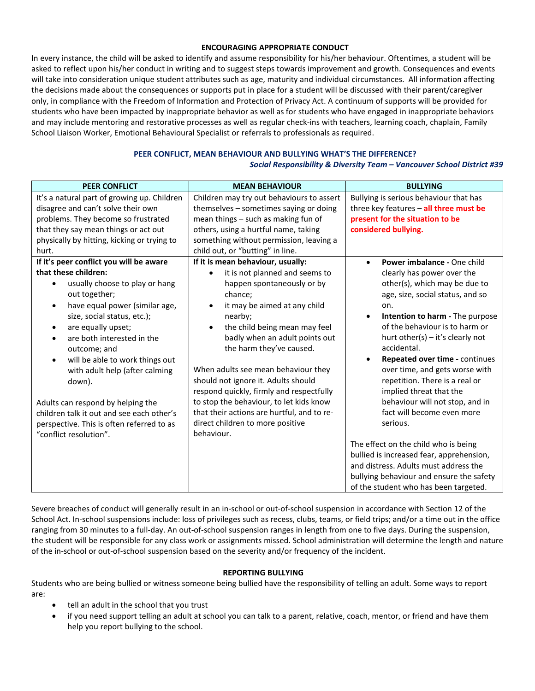#### **ENCOURAGING APPROPRIATE CONDUCT**

In every instance, the child will be asked to identify and assume responsibility for his/her behaviour. Oftentimes, a student will be asked to reflect upon his/her conduct in writing and to suggest steps towards improvement and growth. Consequences and events will take into consideration unique student attributes such as age, maturity and individual circumstances. All information affecting the decisions made about the consequences or supports put in place for a student will be discussed with their parent/caregiver only, in compliance with the Freedom of Information and Protection of Privacy Act. A continuum of supports will be provided for students who have been impacted by inappropriate behavior as well as for students who have engaged in inappropriate behaviors and may include mentoring and restorative processes as well as regular check-ins with teachers, learning coach, chaplain, Family School Liaison Worker, Emotional Behavioural Specialist or referrals to professionals as required.

## **PEER CONFLICT, MEAN BEHAVIOUR AND BULLYING WHAT'S THE DIFFERENCE?**

*Social Responsibility & Diversity Team – Vancouver School District #39*

| <b>PEER CONFLICT</b>                                                                                                                                                                                                                                                                                                                                                                                                         | <b>MEAN BEHAVIOUR</b>                                                                                                                                                                                                                                                                                                                                                                                                     | <b>BULLYING</b>                                                                                                                                                                                                                                                                                                                                   |
|------------------------------------------------------------------------------------------------------------------------------------------------------------------------------------------------------------------------------------------------------------------------------------------------------------------------------------------------------------------------------------------------------------------------------|---------------------------------------------------------------------------------------------------------------------------------------------------------------------------------------------------------------------------------------------------------------------------------------------------------------------------------------------------------------------------------------------------------------------------|---------------------------------------------------------------------------------------------------------------------------------------------------------------------------------------------------------------------------------------------------------------------------------------------------------------------------------------------------|
| It's a natural part of growing up. Children<br>disagree and can't solve their own<br>problems. They become so frustrated<br>that they say mean things or act out<br>physically by hitting, kicking or trying to<br>hurt.<br>If it's peer conflict you will be aware<br>that these children:<br>usually choose to play or hang<br>out together;<br>have equal power (similar age,<br>$\bullet$<br>size, social status, etc.); | Children may try out behaviours to assert<br>themselves - sometimes saying or doing<br>mean things - such as making fun of<br>others, using a hurtful name, taking<br>something without permission, leaving a<br>child out, or "butting" in line.<br>If it is mean behaviour, usually:<br>it is not planned and seems to<br>$\bullet$<br>happen spontaneously or by<br>chance;<br>it may be aimed at any child<br>nearby; | Bullying is serious behaviour that has<br>three key features - all three must be<br>present for the situation to be<br>considered bullying.<br>Power imbalance - One child<br>$\bullet$<br>clearly has power over the<br>other(s), which may be due to<br>age, size, social status, and so<br>on.<br>Intention to harm - The purpose<br>$\bullet$ |
| are equally upset;<br>$\bullet$<br>are both interested in the<br>outcome; and<br>will be able to work things out<br>$\bullet$<br>with adult help (after calming<br>down).<br>Adults can respond by helping the                                                                                                                                                                                                               | the child being mean may feel<br>$\bullet$<br>badly when an adult points out<br>the harm they've caused.<br>When adults see mean behaviour they<br>should not ignore it. Adults should<br>respond quickly, firmly and respectfully<br>to stop the behaviour, to let kids know                                                                                                                                             | of the behaviour is to harm or<br>hurt other(s) $-$ it's clearly not<br>accidental.<br>Repeated over time - continues<br>$\bullet$<br>over time, and gets worse with<br>repetition. There is a real or<br>implied threat that the<br>behaviour will not stop, and in                                                                              |
| children talk it out and see each other's<br>perspective. This is often referred to as<br>"conflict resolution".                                                                                                                                                                                                                                                                                                             | that their actions are hurtful, and to re-<br>direct children to more positive<br>behaviour.                                                                                                                                                                                                                                                                                                                              | fact will become even more<br>serious.<br>The effect on the child who is being<br>bullied is increased fear, apprehension,<br>and distress. Adults must address the<br>bullying behaviour and ensure the safety<br>of the student who has been targeted.                                                                                          |

Severe breaches of conduct will generally result in an in-school or out-of-school suspension in accordance with Section 12 of the School Act. In-school suspensions include: loss of privileges such as recess, clubs, teams, or field trips; and/or a time out in the office ranging from 30 minutes to a full-day. An out-of-school suspension ranges in length from one to five days. During the suspension, the student will be responsible for any class work or assignments missed. School administration will determine the length and nature of the in-school or out-of-school suspension based on the severity and/or frequency of the incident.

#### **REPORTING BULLYING**

Students who are being bullied or witness someone being bullied have the responsibility of telling an adult. Some ways to report are:

- tell an adult in the school that you trust
- if you need support telling an adult at school you can talk to a parent, relative, coach, mentor, or friend and have them help you report bullying to the school.